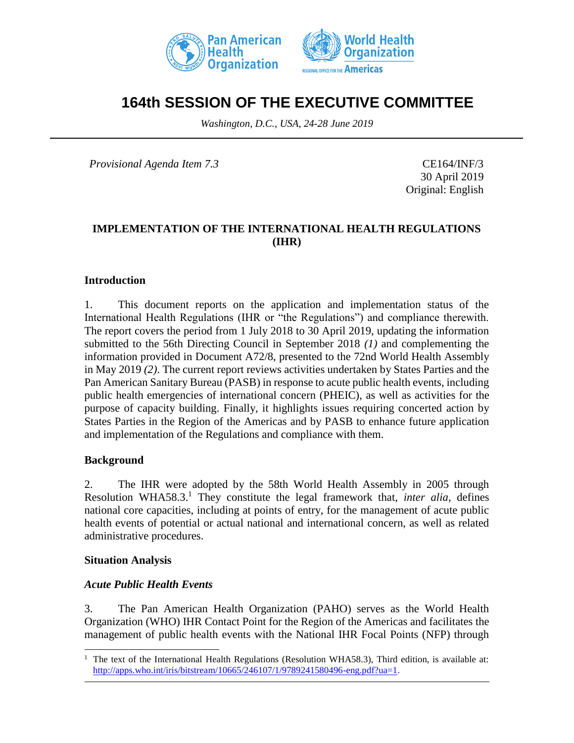



# **164th SESSION OF THE EXECUTIVE COMMITTEE**

*Washington, D.C., USA, 24-28 June 2019*

*Provisional Agenda Item 7.3* CE164/INF/3

30 April 2019 Original: English

# **IMPLEMENTATION OF THE INTERNATIONAL HEALTH REGULATIONS (IHR)**

## **Introduction**

1. This document reports on the application and implementation status of the International Health Regulations (IHR or "the Regulations") and compliance therewith. The report covers the period from 1 July 2018 to 30 April 2019, updating the information submitted to the 56th Directing Council in September 2018 *(1)* and complementing the information provided in Document A72/8, presented to the 72nd World Health Assembly in May 2019 *(2)*. The current report reviews activities undertaken by States Parties and the Pan American Sanitary Bureau (PASB) in response to acute public health events, including public health emergencies of international concern (PHEIC), as well as activities for the purpose of capacity building. Finally, it highlights issues requiring concerted action by States Parties in the Region of the Americas and by PASB to enhance future application and implementation of the Regulations and compliance with them.

### **Background**

2. The IHR were adopted by the 58th World Health Assembly in 2005 through Resolution WHA58.3. <sup>1</sup> They constitute the legal framework that, *inter alia*, defines national core capacities, including at points of entry, for the management of acute public health events of potential or actual national and international concern, as well as related administrative procedures.

### **Situation Analysis**

 $\overline{a}$ 

### *Acute Public Health Events*

3. The Pan American Health Organization (PAHO) serves as the World Health Organization (WHO) IHR Contact Point for the Region of the Americas and facilitates the management of public health events with the National IHR Focal Points (NFP) through

<sup>&</sup>lt;sup>1</sup> The text of the International Health Regulations (Resolution WHA58.3), Third edition, is available at: [http://apps.who.int/iris/bitstream/10665/246107/1/9789241580496-eng.pdf?ua=1.](http://apps.who.int/iris/bitstream/10665/246107/1/9789241580496-eng.pdf?ua=1)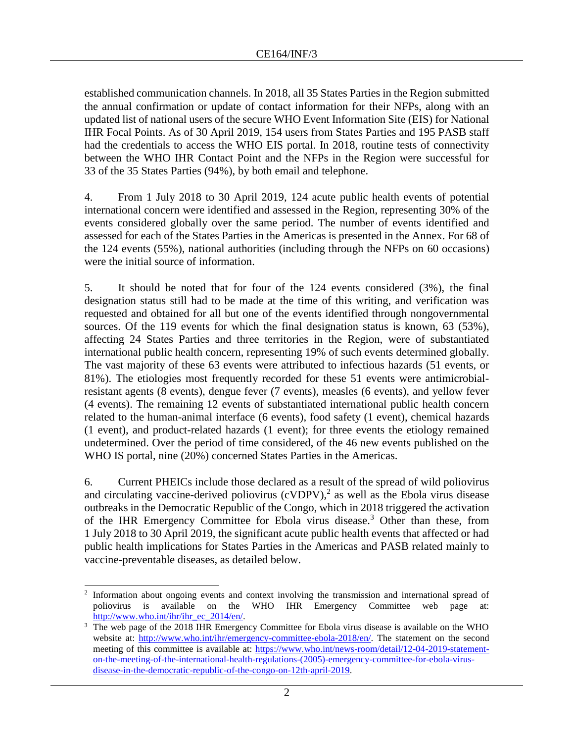established communication channels. In 2018, all 35 States Parties in the Region submitted the annual confirmation or update of contact information for their NFPs, along with an updated list of national users of the secure WHO Event Information Site (EIS) for National IHR Focal Points. As of 30 April 2019, 154 users from States Parties and 195 PASB staff had the credentials to access the WHO EIS portal. In 2018, routine tests of connectivity between the WHO IHR Contact Point and the NFPs in the Region were successful for 33 of the 35 States Parties (94%), by both email and telephone.

4. From 1 July 2018 to 30 April 2019, 124 acute public health events of potential international concern were identified and assessed in the Region, representing 30% of the events considered globally over the same period. The number of events identified and assessed for each of the States Parties in the Americas is presented in the Annex. For 68 of the 124 events (55%), national authorities (including through the NFPs on 60 occasions) were the initial source of information.

5. It should be noted that for four of the 124 events considered (3%), the final designation status still had to be made at the time of this writing, and verification was requested and obtained for all but one of the events identified through nongovernmental sources. Of the 119 events for which the final designation status is known, 63 (53%), affecting 24 States Parties and three territories in the Region, were of substantiated international public health concern, representing 19% of such events determined globally. The vast majority of these 63 events were attributed to infectious hazards (51 events, or 81%). The etiologies most frequently recorded for these 51 events were antimicrobialresistant agents (8 events), dengue fever (7 events), measles (6 events), and yellow fever (4 events). The remaining 12 events of substantiated international public health concern related to the human-animal interface (6 events), food safety (1 event), chemical hazards (1 event), and product-related hazards (1 event); for three events the etiology remained undetermined. Over the period of time considered, of the 46 new events published on the WHO IS portal, nine (20%) concerned States Parties in the Americas.

6. Current PHEICs include those declared as a result of the spread of wild poliovirus and circulating vaccine-derived poliovirus (cVDPV), 2 as well as the Ebola virus disease outbreaks in the Democratic Republic of the Congo, which in 2018 triggered the activation of the IHR Emergency Committee for Ebola virus disease. <sup>3</sup> Other than these, from 1 July 2018 to 30 April 2019, the significant acute public health events that affected or had public health implications for States Parties in the Americas and PASB related mainly to vaccine-preventable diseases, as detailed below.

 $\overline{a}$ 2 Information about ongoing events and context involving the transmission and international spread of poliovirus is available on the WHO IHR Emergency Committee web page at: [http://www.who.int/ihr/ihr\\_ec\\_2014/en/.](http://www.who.int/ihr/ihr_ec_2014/en/)

<sup>&</sup>lt;sup>3</sup> The web page of the 2018 IHR Emergency Committee for Ebola virus disease is available on the WHO website at: [http://www.who.int/ihr/emergency-committee-ebola-2018/en/.](http://www.who.int/ihr/emergency-committee-ebola-2018/en/) The statement on the second meeting of this committee is available at: [https://www.who.int/news-room/detail/12-04-2019-statement](https://www.who.int/news-room/detail/12-04-2019-statement-on-the-meeting-of-the-international-health-regulations-(2005)-emergency-committee-for-ebola-virus-disease-in-the-democratic-republic-of-the-congo-on-12th-april-2019)[on-the-meeting-of-the-international-health-regulations-\(2005\)-emergency-committee-for-ebola-virus](https://www.who.int/news-room/detail/12-04-2019-statement-on-the-meeting-of-the-international-health-regulations-(2005)-emergency-committee-for-ebola-virus-disease-in-the-democratic-republic-of-the-congo-on-12th-april-2019)[disease-in-the-democratic-republic-of-the-congo-on-12th-april-2019.](https://www.who.int/news-room/detail/12-04-2019-statement-on-the-meeting-of-the-international-health-regulations-(2005)-emergency-committee-for-ebola-virus-disease-in-the-democratic-republic-of-the-congo-on-12th-april-2019)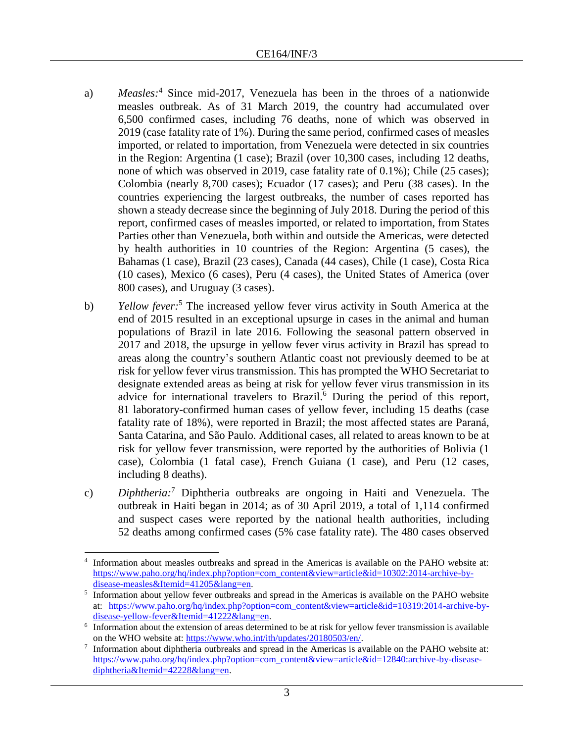- a) *Measles:* <sup>4</sup> Since mid-2017, Venezuela has been in the throes of a nationwide measles outbreak. As of 31 March 2019, the country had accumulated over 6,500 confirmed cases, including 76 deaths, none of which was observed in 2019 (case fatality rate of 1%). During the same period, confirmed cases of measles imported, or related to importation, from Venezuela were detected in six countries in the Region: Argentina (1 case); Brazil (over 10,300 cases, including 12 deaths, none of which was observed in 2019, case fatality rate of 0.1%); Chile (25 cases); Colombia (nearly 8,700 cases); Ecuador (17 cases); and Peru (38 cases). In the countries experiencing the largest outbreaks, the number of cases reported has shown a steady decrease since the beginning of July 2018. During the period of this report, confirmed cases of measles imported, or related to importation, from States Parties other than Venezuela, both within and outside the Americas, were detected by health authorities in 10 countries of the Region: Argentina (5 cases), the Bahamas (1 case), Brazil (23 cases), Canada (44 cases), Chile (1 case), Costa Rica (10 cases), Mexico (6 cases), Peru (4 cases), the United States of America (over 800 cases), and Uruguay (3 cases).
- b) *Yellow fever:* <sup>5</sup> The increased yellow fever virus activity in South America at the end of 2015 resulted in an exceptional upsurge in cases in the animal and human populations of Brazil in late 2016. Following the seasonal pattern observed in 2017 and 2018, the upsurge in yellow fever virus activity in Brazil has spread to areas along the country's southern Atlantic coast not previously deemed to be at risk for yellow fever virus transmission. This has prompted the WHO Secretariat to designate extended areas as being at risk for yellow fever virus transmission in its advice for international travelers to Brazil.<sup>6</sup> During the period of this report, 81 laboratory-confirmed human cases of yellow fever, including 15 deaths (case fatality rate of 18%), were reported in Brazil; the most affected states are Paraná, Santa Catarina, and São Paulo. Additional cases, all related to areas known to be at risk for yellow fever transmission, were reported by the authorities of Bolivia (1 case), Colombia (1 fatal case), French Guiana (1 case), and Peru (12 cases, including 8 deaths).
- c) *Diphtheria*:<sup>7</sup> Diphtheria outbreaks are ongoing in Haiti and Venezuela. The outbreak in Haiti began in 2014; as of 30 April 2019, a total of 1,114 confirmed and suspect cases were reported by the national health authorities, including 52 deaths among confirmed cases (5% case fatality rate). The 480 cases observed

 $\overline{a}$ 4 Information about measles outbreaks and spread in the Americas is available on the PAHO website at: [https://www.paho.org/hq/index.php?option=com\\_content&view=article&id=10302:2014-archive-by](https://www.paho.org/hq/index.php?option=com_content&view=article&id=10302:2014-archive-by-disease-measles&Itemid=41205&lang=en)[disease-measles&Itemid=41205&lang=en.](https://www.paho.org/hq/index.php?option=com_content&view=article&id=10302:2014-archive-by-disease-measles&Itemid=41205&lang=en)

<sup>5</sup> Information about yellow fever outbreaks and spread in the Americas is available on the PAHO website at: [https://www.paho.org/hq/index.php?option=com\\_content&view=article&id=10319:2014-archive-by](https://www.paho.org/hq/index.php?option=com_content&view=article&id=10319:2014-archive-by-disease-yellow-fever&Itemid=41222&lang=en)[disease-yellow-fever&Itemid=41222&lang=en.](https://www.paho.org/hq/index.php?option=com_content&view=article&id=10319:2014-archive-by-disease-yellow-fever&Itemid=41222&lang=en)

<sup>6</sup> Information about the extension of areas determined to be at risk for yellow fever transmission is available on the WHO website at: [https://www.who.int/ith/updates/20180503/en/.](https://www.who.int/ith/updates/20180503/en/)

<sup>7</sup> Information about diphtheria outbreaks and spread in the Americas is available on the PAHO website at: [https://www.paho.org/hq/index.php?option=com\\_content&view=article&id=12840:archive-by-disease](https://www.paho.org/hq/index.php?option=com_content&view=article&id=12840:archive-by-disease-diphtheria&Itemid=42228&lang=en)[diphtheria&Itemid=42228&lang=en.](https://www.paho.org/hq/index.php?option=com_content&view=article&id=12840:archive-by-disease-diphtheria&Itemid=42228&lang=en)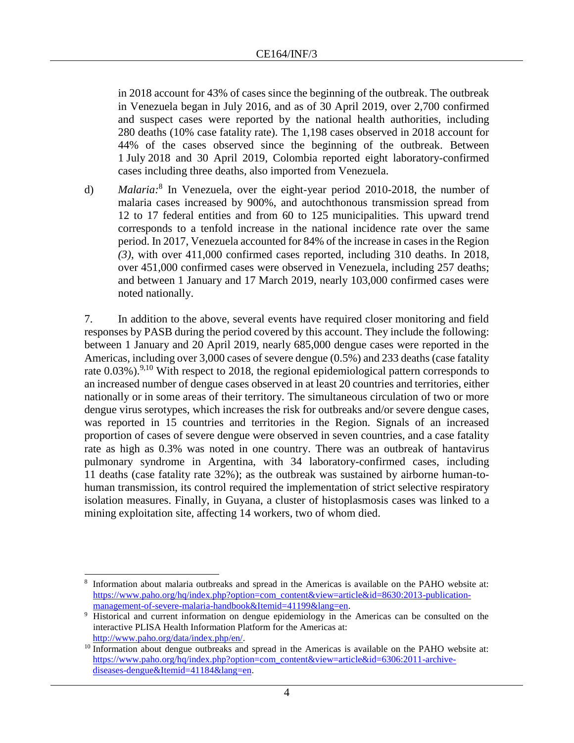in 2018 account for 43% of cases since the beginning of the outbreak. The outbreak in Venezuela began in July 2016, and as of 30 April 2019, over 2,700 confirmed and suspect cases were reported by the national health authorities, including 280 deaths (10% case fatality rate). The 1,198 cases observed in 2018 account for 44% of the cases observed since the beginning of the outbreak. Between 1 July 2018 and 30 April 2019, Colombia reported eight laboratory-confirmed cases including three deaths, also imported from Venezuela.

d) *Malaria:* 8 In Venezuela, over the eight-year period 2010-2018, the number of malaria cases increased by 900%, and autochthonous transmission spread from 12 to 17 federal entities and from 60 to 125 municipalities. This upward trend corresponds to a tenfold increase in the national incidence rate over the same period. In 2017, Venezuela accounted for 84% of the increase in cases in the Region *(3)*, with over 411,000 confirmed cases reported, including 310 deaths. In 2018, over 451,000 confirmed cases were observed in Venezuela, including 257 deaths; and between 1 January and 17 March 2019, nearly 103,000 confirmed cases were noted nationally.

7. In addition to the above, several events have required closer monitoring and field responses by PASB during the period covered by this account. They include the following: between 1 January and 20 April 2019, nearly 685,000 dengue cases were reported in the Americas, including over 3,000 cases of severe dengue (0.5%) and 233 deaths (case fatality rate  $0.03\%$ ).<sup>9,10</sup> With respect to 2018, the regional epidemiological pattern corresponds to an increased number of dengue cases observed in at least 20 countries and territories, either nationally or in some areas of their territory. The simultaneous circulation of two or more dengue virus serotypes, which increases the risk for outbreaks and/or severe dengue cases, was reported in 15 countries and territories in the Region. Signals of an increased proportion of cases of severe dengue were observed in seven countries, and a case fatality rate as high as 0.3% was noted in one country. There was an outbreak of hantavirus pulmonary syndrome in Argentina, with 34 laboratory-confirmed cases, including 11 deaths (case fatality rate 32%); as the outbreak was sustained by airborne human-tohuman transmission, its control required the implementation of strict selective respiratory isolation measures. Finally, in Guyana, a cluster of histoplasmosis cases was linked to a mining exploitation site, affecting 14 workers, two of whom died.

l

<sup>8</sup> Information about malaria outbreaks and spread in the Americas is available on the PAHO website at: [https://www.paho.org/hq/index.php?option=com\\_content&view=article&id=8630:2013-publication](https://www.paho.org/hq/index.php?option=com_content&view=article&id=8630:2013-publication-management-of-severe-malaria-handbook&Itemid=41199&lang=en)[management-of-severe-malaria-handbook&Itemid=41199&lang=en.](https://www.paho.org/hq/index.php?option=com_content&view=article&id=8630:2013-publication-management-of-severe-malaria-handbook&Itemid=41199&lang=en)

<sup>9</sup> Historical and current information on dengue epidemiology in the Americas can be consulted on the interactive PLISA Health Information Platform for the Americas at: [http://www.paho.org/data/index.php/en/.](http://www.paho.org/data/index.php/en/)

<sup>&</sup>lt;sup>10</sup> Information about dengue outbreaks and spread in the Americas is available on the PAHO website at: [https://www.paho.org/hq/index.php?option=com\\_content&view=article&id=6306:2011-archive](https://www.paho.org/hq/index.php?option=com_content&view=article&id=6306:2011-archive-diseases-dengue&Itemid=41184&lang=en)[diseases-dengue&Itemid=41184&lang=en.](https://www.paho.org/hq/index.php?option=com_content&view=article&id=6306:2011-archive-diseases-dengue&Itemid=41184&lang=en)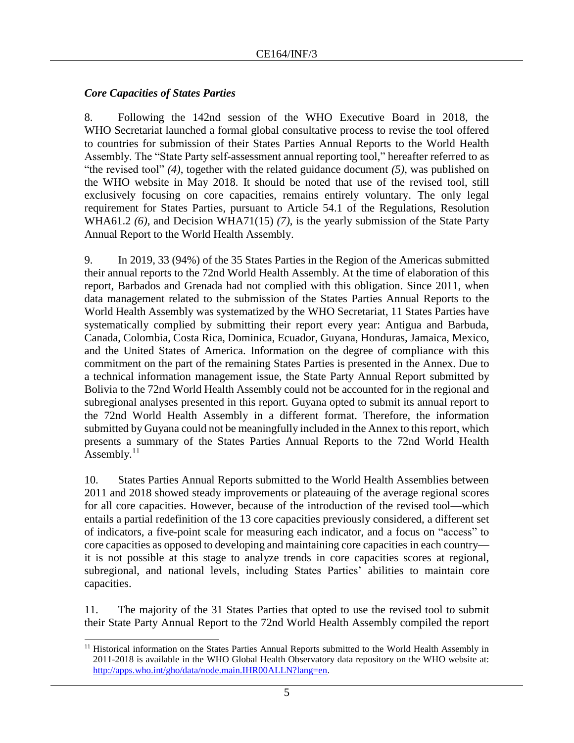# *Core Capacities of States Parties*

8. Following the 142nd session of the WHO Executive Board in 2018, the WHO Secretariat launched a formal global consultative process to revise the tool offered to countries for submission of their States Parties Annual Reports to the World Health Assembly. The "State Party self-assessment annual reporting tool," hereafter referred to as "the revised tool" *(4)*, together with the related guidance document *(5)*, was published on the WHO website in May 2018. It should be noted that use of the revised tool, still exclusively focusing on core capacities, remains entirely voluntary. The only legal requirement for States Parties, pursuant to Article 54.1 of the Regulations, Resolution WHA61.2 *(6)*, and Decision WHA71(15) *(7)*, is the yearly submission of the State Party Annual Report to the World Health Assembly.

9. In 2019, 33 (94%) of the 35 States Parties in the Region of the Americas submitted their annual reports to the 72nd World Health Assembly. At the time of elaboration of this report, Barbados and Grenada had not complied with this obligation. Since 2011, when data management related to the submission of the States Parties Annual Reports to the World Health Assembly was systematized by the WHO Secretariat, 11 States Parties have systematically complied by submitting their report every year: Antigua and Barbuda, Canada, Colombia, Costa Rica, Dominica, Ecuador, Guyana, Honduras, Jamaica, Mexico, and the United States of America. Information on the degree of compliance with this commitment on the part of the remaining States Parties is presented in the Annex. Due to a technical information management issue, the State Party Annual Report submitted by Bolivia to the 72nd World Health Assembly could not be accounted for in the regional and subregional analyses presented in this report. Guyana opted to submit its annual report to the 72nd World Health Assembly in a different format. Therefore, the information submitted by Guyana could not be meaningfully included in the Annex to this report, which presents a summary of the States Parties Annual Reports to the 72nd World Health Assembly. $11$ 

10. States Parties Annual Reports submitted to the World Health Assemblies between 2011 and 2018 showed steady improvements or plateauing of the average regional scores for all core capacities. However, because of the introduction of the revised tool—which entails a partial redefinition of the 13 core capacities previously considered, a different set of indicators, a five-point scale for measuring each indicator, and a focus on "access" to core capacities as opposed to developing and maintaining core capacities in each country it is not possible at this stage to analyze trends in core capacities scores at regional, subregional, and national levels, including States Parties' abilities to maintain core capacities.

11. The majority of the 31 States Parties that opted to use the revised tool to submit their State Party Annual Report to the 72nd World Health Assembly compiled the report

l <sup>11</sup> Historical information on the States Parties Annual Reports submitted to the World Health Assembly in 2011-2018 is available in the WHO Global Health Observatory data repository on the WHO website at: [http://apps.who.int/gho/data/node.main.IHR00ALLN?lang=en.](http://apps.who.int/gho/data/node.main.IHR00ALLN?lang=en)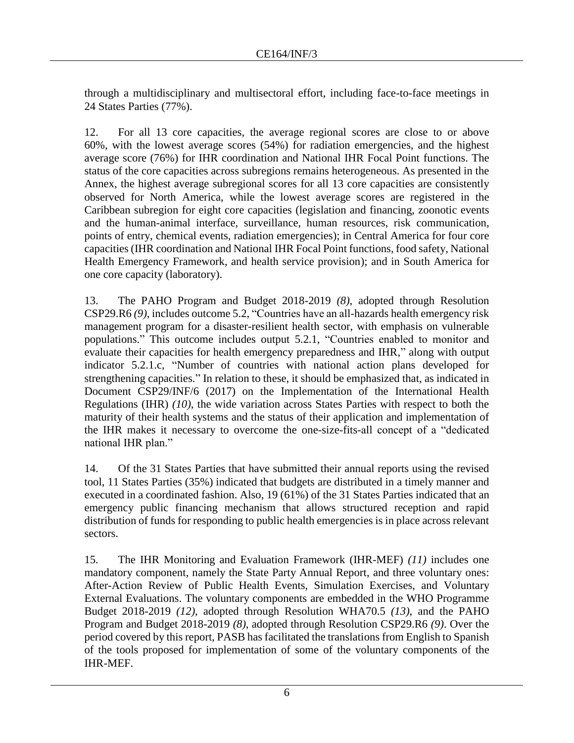through a multidisciplinary and multisectoral effort, including face-to-face meetings in 24 States Parties (77%).

12. For all 13 core capacities, the average regional scores are close to or above 60%, with the lowest average scores (54%) for radiation emergencies, and the highest average score (76%) for IHR coordination and National IHR Focal Point functions. The status of the core capacities across subregions remains heterogeneous. As presented in the Annex, the highest average subregional scores for all 13 core capacities are consistently observed for North America, while the lowest average scores are registered in the Caribbean subregion for eight core capacities (legislation and financing, zoonotic events and the human-animal interface, surveillance, human resources, risk communication, points of entry, chemical events, radiation emergencies); in Central America for four core capacities(IHR coordination and National IHR Focal Point functions, food safety, National Health Emergency Framework, and health service provision); and in South America for one core capacity (laboratory).

13. The PAHO Program and Budget 2018-2019 *(8)*, adopted through Resolution CSP29.R6 *(9)*, includes outcome 5.2, "Countries have an all-hazards health emergency risk management program for a disaster-resilient health sector, with emphasis on vulnerable populations." This outcome includes output 5.2.1, "Countries enabled to monitor and evaluate their capacities for health emergency preparedness and IHR," along with output indicator 5.2.1.c, "Number of countries with national action plans developed for strengthening capacities." In relation to these, it should be emphasized that, as indicated in Document CSP29/INF/6 (2017) on the Implementation of the International Health Regulations (IHR) *(10)*, the wide variation across States Parties with respect to both the maturity of their health systems and the status of their application and implementation of the IHR makes it necessary to overcome the one-size-fits-all concept of a "dedicated national IHR plan."

14. Of the 31 States Parties that have submitted their annual reports using the revised tool, 11 States Parties (35%) indicated that budgets are distributed in a timely manner and executed in a coordinated fashion. Also, 19 (61%) of the 31 States Parties indicated that an emergency public financing mechanism that allows structured reception and rapid distribution of funds for responding to public health emergencies is in place across relevant sectors.

15. The IHR Monitoring and Evaluation Framework (IHR-MEF) *(11)* includes one mandatory component, namely the State Party Annual Report, and three voluntary ones: After-Action Review of Public Health Events, Simulation Exercises, and Voluntary External Evaluations. The voluntary components are embedded in the WHO Programme Budget 2018-2019 *(12)*, adopted through Resolution WHA70.5 *(13)*, and the PAHO Program and Budget 2018-2019 *(8)*, adopted through Resolution CSP29.R6 *(9)*. Over the period covered by this report, PASB has facilitated the translations from English to Spanish of the tools proposed for implementation of some of the voluntary components of the IHR-MEF.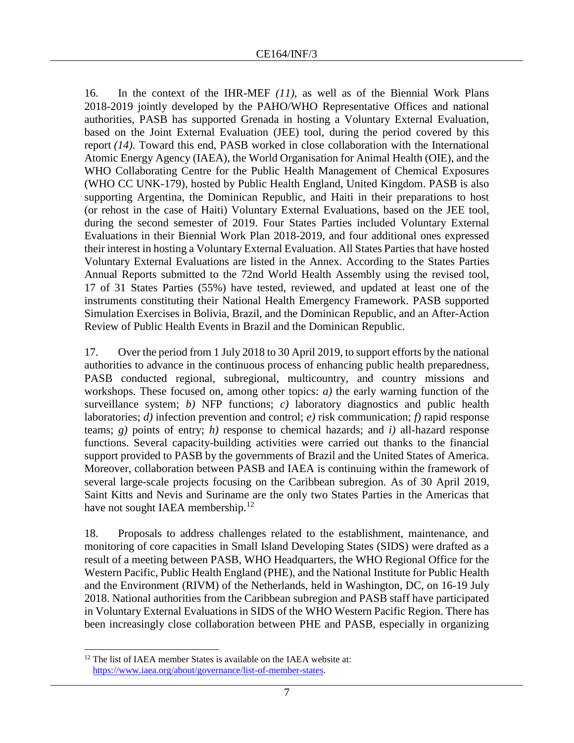16. In the context of the IHR-MEF *(11)*, as well as of the Biennial Work Plans 2018-2019 jointly developed by the PAHO/WHO Representative Offices and national authorities, PASB has supported Grenada in hosting a Voluntary External Evaluation, based on the Joint External Evaluation (JEE) tool, during the period covered by this report *(14)*. Toward this end, PASB worked in close collaboration with the International Atomic Energy Agency (IAEA), the World Organisation for Animal Health (OIE), and the WHO Collaborating Centre for the Public Health Management of Chemical Exposures (WHO CC UNK-179), hosted by Public Health England, United Kingdom. PASB is also supporting Argentina, the Dominican Republic, and Haiti in their preparations to host (or rehost in the case of Haiti) Voluntary External Evaluations, based on the JEE tool, during the second semester of 2019. Four States Parties included Voluntary External Evaluations in their Biennial Work Plan 2018-2019, and four additional ones expressed their interest in hosting a Voluntary External Evaluation. All States Parties that have hosted Voluntary External Evaluations are listed in the Annex. According to the States Parties Annual Reports submitted to the 72nd World Health Assembly using the revised tool, 17 of 31 States Parties (55%) have tested, reviewed, and updated at least one of the instruments constituting their National Health Emergency Framework. PASB supported Simulation Exercises in Bolivia, Brazil, and the Dominican Republic, and an After-Action Review of Public Health Events in Brazil and the Dominican Republic.

17. Over the period from 1 July 2018 to 30 April 2019, to support efforts by the national authorities to advance in the continuous process of enhancing public health preparedness, PASB conducted regional, subregional, multicountry, and country missions and workshops. These focused on, among other topics: *a)* the early warning function of the surveillance system; *b)* NFP functions; *c)* laboratory diagnostics and public health laboratories; *d)* infection prevention and control; *e)* risk communication; *f)* rapid response teams;  $g$ ) points of entry; *h*) response to chemical hazards; and *i*) all-hazard response functions. Several capacity-building activities were carried out thanks to the financial support provided to PASB by the governments of Brazil and the United States of America. Moreover, collaboration between PASB and IAEA is continuing within the framework of several large-scale projects focusing on the Caribbean subregion. As of 30 April 2019, Saint Kitts and Nevis and Suriname are the only two States Parties in the Americas that have not sought IAEA membership.<sup>12</sup>

18. Proposals to address challenges related to the establishment, maintenance, and monitoring of core capacities in Small Island Developing States (SIDS) were drafted as a result of a meeting between PASB, WHO Headquarters, the WHO Regional Office for the Western Pacific, Public Health England (PHE), and the National Institute for Public Health and the Environment (RIVM) of the Netherlands, held in Washington, DC, on 16-19 July 2018. National authorities from the Caribbean subregion and PASB staff have participated in Voluntary External Evaluations in SIDS of the WHO Western Pacific Region. There has been increasingly close collaboration between PHE and PASB, especially in organizing

 $\overline{a}$ <sup>12</sup> The list of IAEA member States is available on the IAEA website at: [https://www.iaea.org/about/governance/list-of-member-states.](https://www.iaea.org/about/governance/list-of-member-states)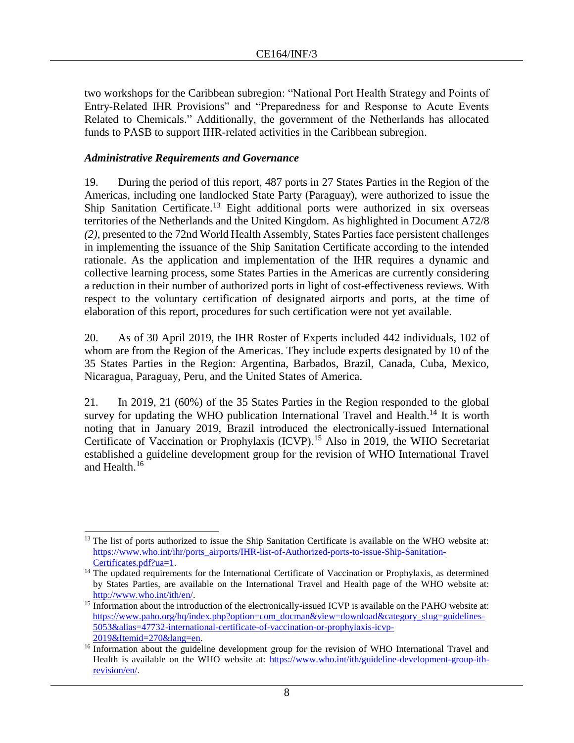two workshops for the Caribbean subregion: "National Port Health Strategy and Points of Entry-Related IHR Provisions" and "Preparedness for and Response to Acute Events Related to Chemicals." Additionally, the government of the Netherlands has allocated funds to PASB to support IHR-related activities in the Caribbean subregion.

## *Administrative Requirements and Governance*

19. During the period of this report, 487 ports in 27 States Parties in the Region of the Americas, including one landlocked State Party (Paraguay), were authorized to issue the Ship Sanitation Certificate.<sup>13</sup> Eight additional ports were authorized in six overseas territories of the Netherlands and the United Kingdom. As highlighted in Document A72/8 *(2)*, presented to the 72nd World Health Assembly, States Parties face persistent challenges in implementing the issuance of the Ship Sanitation Certificate according to the intended rationale. As the application and implementation of the IHR requires a dynamic and collective learning process, some States Parties in the Americas are currently considering a reduction in their number of authorized ports in light of cost-effectiveness reviews. With respect to the voluntary certification of designated airports and ports, at the time of elaboration of this report, procedures for such certification were not yet available.

20. As of 30 April 2019, the IHR Roster of Experts included 442 individuals, 102 of whom are from the Region of the Americas. They include experts designated by 10 of the 35 States Parties in the Region: Argentina, Barbados, Brazil, Canada, Cuba, Mexico, Nicaragua, Paraguay, Peru, and the United States of America.

21. In 2019, 21 (60%) of the 35 States Parties in the Region responded to the global survey for updating the WHO publication International Travel and Health.<sup>14</sup> It is worth noting that in January 2019, Brazil introduced the electronically-issued International Certificate of Vaccination or Prophylaxis (ICVP).<sup>15</sup> Also in 2019, the WHO Secretariat established a guideline development group for the revision of WHO International Travel and Health.<sup>16</sup>

l <sup>13</sup> The list of ports authorized to issue the Ship Sanitation Certificate is available on the WHO website at: [https://www.who.int/ihr/ports\\_airports/IHR-list-of-Authorized-ports-to-issue-Ship-Sanitation-](https://www.who.int/ihr/ports_airports/IHR-list-of-Authorized-ports-to-issue-Ship-Sanitation-Certificates.pdf?ua=1)[Certificates.pdf?ua=1.](https://www.who.int/ihr/ports_airports/IHR-list-of-Authorized-ports-to-issue-Ship-Sanitation-Certificates.pdf?ua=1)

<sup>&</sup>lt;sup>14</sup> The updated requirements for the International Certificate of Vaccination or Prophylaxis, as determined by States Parties, are available on the International Travel and Health page of the WHO website at: [http://www.who.int/ith/en/.](http://www.who.int/ith/en/)

<sup>&</sup>lt;sup>15</sup> Information about the introduction of the electronically-issued ICVP is available on the PAHO website at: [https://www.paho.org/hq/index.php?option=com\\_docman&view=download&category\\_slug=guidelines-](https://www.paho.org/hq/index.php?option=com_docman&view=download&category_slug=guidelines-5053&alias=47732-international-certificate-of-vaccination-or-prophylaxis-icvp-2019&Itemid=270&lang=en)[5053&alias=47732-international-certificate-of-vaccination-or-prophylaxis-icvp-](https://www.paho.org/hq/index.php?option=com_docman&view=download&category_slug=guidelines-5053&alias=47732-international-certificate-of-vaccination-or-prophylaxis-icvp-2019&Itemid=270&lang=en)[2019&Itemid=270&lang=en.](https://www.paho.org/hq/index.php?option=com_docman&view=download&category_slug=guidelines-5053&alias=47732-international-certificate-of-vaccination-or-prophylaxis-icvp-2019&Itemid=270&lang=en)

<sup>&</sup>lt;sup>16</sup> Information about the guideline development group for the revision of WHO International Travel and Health is available on the WHO website at: [https://www.who.int/ith/guideline-development-group-ith](https://www.who.int/ith/guideline-development-group-ith-revision/en/)[revision/en/.](https://www.who.int/ith/guideline-development-group-ith-revision/en/)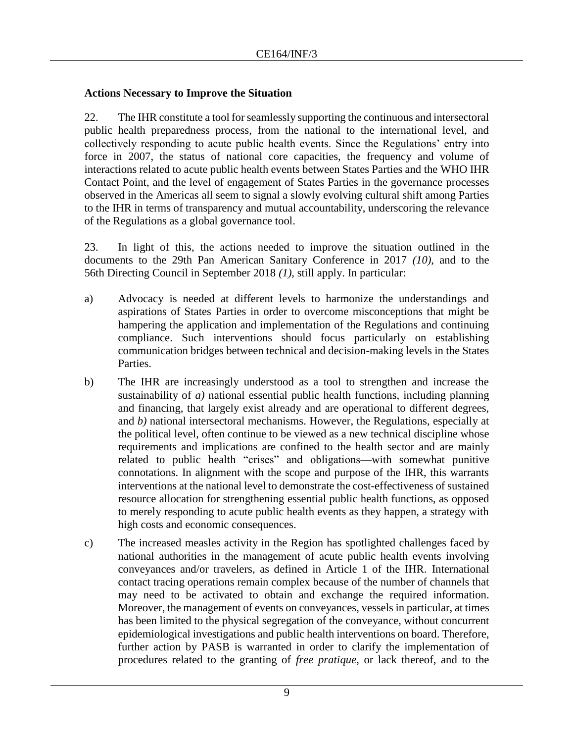# **Actions Necessary to Improve the Situation**

22. The IHR constitute a tool for seamlessly supporting the continuous and intersectoral public health preparedness process, from the national to the international level, and collectively responding to acute public health events. Since the Regulations' entry into force in 2007, the status of national core capacities, the frequency and volume of interactions related to acute public health events between States Parties and the WHO IHR Contact Point, and the level of engagement of States Parties in the governance processes observed in the Americas all seem to signal a slowly evolving cultural shift among Parties to the IHR in terms of transparency and mutual accountability, underscoring the relevance of the Regulations as a global governance tool.

23. In light of this, the actions needed to improve the situation outlined in the documents to the 29th Pan American Sanitary Conference in 2017 *(10)*, and to the 56th Directing Council in September 2018 *(1)*, still apply. In particular:

- a) Advocacy is needed at different levels to harmonize the understandings and aspirations of States Parties in order to overcome misconceptions that might be hampering the application and implementation of the Regulations and continuing compliance. Such interventions should focus particularly on establishing communication bridges between technical and decision-making levels in the States Parties.
- b) The IHR are increasingly understood as a tool to strengthen and increase the sustainability of *a)* national essential public health functions, including planning and financing, that largely exist already and are operational to different degrees, and *b)* national intersectoral mechanisms. However, the Regulations, especially at the political level, often continue to be viewed as a new technical discipline whose requirements and implications are confined to the health sector and are mainly related to public health "crises" and obligations—with somewhat punitive connotations. In alignment with the scope and purpose of the IHR, this warrants interventions at the national level to demonstrate the cost-effectiveness of sustained resource allocation for strengthening essential public health functions, as opposed to merely responding to acute public health events as they happen, a strategy with high costs and economic consequences.
- c) The increased measles activity in the Region has spotlighted challenges faced by national authorities in the management of acute public health events involving conveyances and/or travelers, as defined in Article 1 of the IHR. International contact tracing operations remain complex because of the number of channels that may need to be activated to obtain and exchange the required information. Moreover, the management of events on conveyances, vessels in particular, at times has been limited to the physical segregation of the conveyance, without concurrent epidemiological investigations and public health interventions on board. Therefore, further action by PASB is warranted in order to clarify the implementation of procedures related to the granting of *free pratique*, or lack thereof, and to the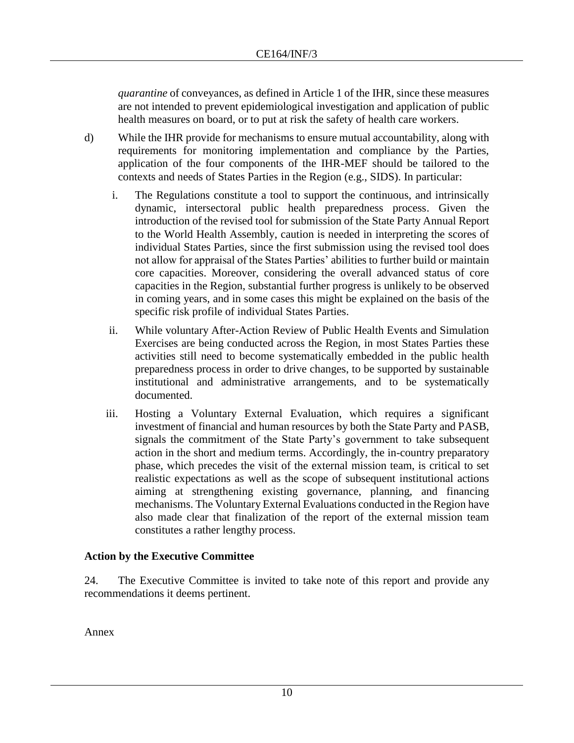*quarantine* of conveyances, as defined in Article 1 of the IHR, since these measures are not intended to prevent epidemiological investigation and application of public health measures on board, or to put at risk the safety of health care workers.

- d) While the IHR provide for mechanisms to ensure mutual accountability, along with requirements for monitoring implementation and compliance by the Parties, application of the four components of the IHR-MEF should be tailored to the contexts and needs of States Parties in the Region (e.g., SIDS). In particular:
	- i. The Regulations constitute a tool to support the continuous, and intrinsically dynamic, intersectoral public health preparedness process. Given the introduction of the revised tool for submission of the State Party Annual Report to the World Health Assembly, caution is needed in interpreting the scores of individual States Parties, since the first submission using the revised tool does not allow for appraisal of the States Parties' abilities to further build or maintain core capacities. Moreover, considering the overall advanced status of core capacities in the Region, substantial further progress is unlikely to be observed in coming years, and in some cases this might be explained on the basis of the specific risk profile of individual States Parties.
	- ii. While voluntary After-Action Review of Public Health Events and Simulation Exercises are being conducted across the Region, in most States Parties these activities still need to become systematically embedded in the public health preparedness process in order to drive changes, to be supported by sustainable institutional and administrative arrangements, and to be systematically documented.
	- iii. Hosting a Voluntary External Evaluation, which requires a significant investment of financial and human resources by both the State Party and PASB, signals the commitment of the State Party's government to take subsequent action in the short and medium terms. Accordingly, the in-country preparatory phase, which precedes the visit of the external mission team, is critical to set realistic expectations as well as the scope of subsequent institutional actions aiming at strengthening existing governance, planning, and financing mechanisms. The Voluntary External Evaluations conducted in the Region have also made clear that finalization of the report of the external mission team constitutes a rather lengthy process.

# **Action by the Executive Committee**

24. The Executive Committee is invited to take note of this report and provide any recommendations it deems pertinent.

Annex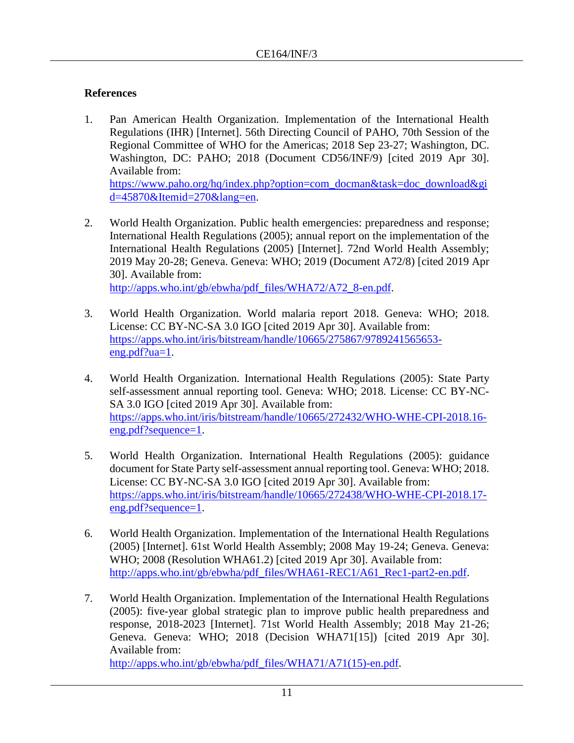# **References**

1. Pan American Health Organization. Implementation of the International Health Regulations (IHR) [Internet]. 56th Directing Council of PAHO, 70th Session of the Regional Committee of WHO for the Americas; 2018 Sep 23-27; Washington, DC. Washington, DC: PAHO; 2018 (Document CD56/INF/9) [cited 2019 Apr 30]. Available from:

[https://www.paho.org/hq/index.php?option=com\\_docman&task=doc\\_download&gi](https://www.paho.org/hq/index.php?option=com_docman&task=doc_download&gid=45870&Itemid=270&lang=en) [d=45870&Itemid=270&lang=en.](https://www.paho.org/hq/index.php?option=com_docman&task=doc_download&gid=45870&Itemid=270&lang=en)

2. World Health Organization. Public health emergencies: preparedness and response; International Health Regulations (2005); annual report on the implementation of the International Health Regulations (2005) [Internet]. 72nd World Health Assembly; 2019 May 20-28; Geneva. Geneva: WHO; 2019 (Document A72/8) [cited 2019 Apr 30]. Available from:

[http://apps.who.int/gb/ebwha/pdf\\_files/WHA72/A72\\_8-en.pdf.](http://apps.who.int/gb/ebwha/pdf_files/WHA72/A72_8-en.pdf)

- 3. World Health Organization. World malaria report 2018. Geneva: WHO; 2018. License: CC BY-NC-SA 3.0 IGO [cited 2019 Apr 30]. Available from: [https://apps.who.int/iris/bitstream/handle/10665/275867/9789241565653](https://apps.who.int/iris/bitstream/handle/10665/275867/9789241565653-eng.pdf?ua=1) [eng.pdf?ua=1.](https://apps.who.int/iris/bitstream/handle/10665/275867/9789241565653-eng.pdf?ua=1)
- 4. World Health Organization. International Health Regulations (2005): State Party self-assessment annual reporting tool. Geneva: WHO; 2018. License: CC BY-NC-SA 3.0 IGO [cited 2019 Apr 30]. Available from: [https://apps.who.int/iris/bitstream/handle/10665/272432/WHO-WHE-CPI-2018.16](https://apps.who.int/iris/bitstream/handle/10665/272432/WHO-WHE-CPI-2018.16-eng.pdf?sequence=1) [eng.pdf?sequence=1.](https://apps.who.int/iris/bitstream/handle/10665/272432/WHO-WHE-CPI-2018.16-eng.pdf?sequence=1)
- 5. World Health Organization. International Health Regulations (2005): guidance document for State Party self-assessment annual reporting tool. Geneva: WHO; 2018. License: CC BY-NC-SA 3.0 IGO [cited 2019 Apr 30]. Available from: [https://apps.who.int/iris/bitstream/handle/10665/272438/WHO-WHE-CPI-2018.17](https://apps.who.int/iris/bitstream/handle/10665/272438/WHO-WHE-CPI-2018.17-eng.pdf?sequence=1) [eng.pdf?sequence=1.](https://apps.who.int/iris/bitstream/handle/10665/272438/WHO-WHE-CPI-2018.17-eng.pdf?sequence=1)
- 6. World Health Organization. Implementation of the International Health Regulations (2005) [Internet]. 61st World Health Assembly; 2008 May 19-24; Geneva. Geneva: WHO; 2008 (Resolution WHA61.2) [cited 2019 Apr 30]. Available from: [http://apps.who.int/gb/ebwha/pdf\\_files/WHA61-REC1/A61\\_Rec1-part2-en.pdf.](http://apps.who.int/gb/ebwha/pdf_files/WHA61-REC1/A61_Rec1-part2-en.pdf)
- 7. World Health Organization. Implementation of the International Health Regulations (2005): five-year global strategic plan to improve public health preparedness and response, 2018-2023 [Internet]. 71st World Health Assembly; 2018 May 21-26; Geneva. Geneva: WHO; 2018 (Decision WHA71[15]) [cited 2019 Apr 30]. Available from: [http://apps.who.int/gb/ebwha/pdf\\_files/WHA71/A71\(15\)-en.pdf.](http://apps.who.int/gb/ebwha/pdf_files/WHA71/A71(15)-en.pdf)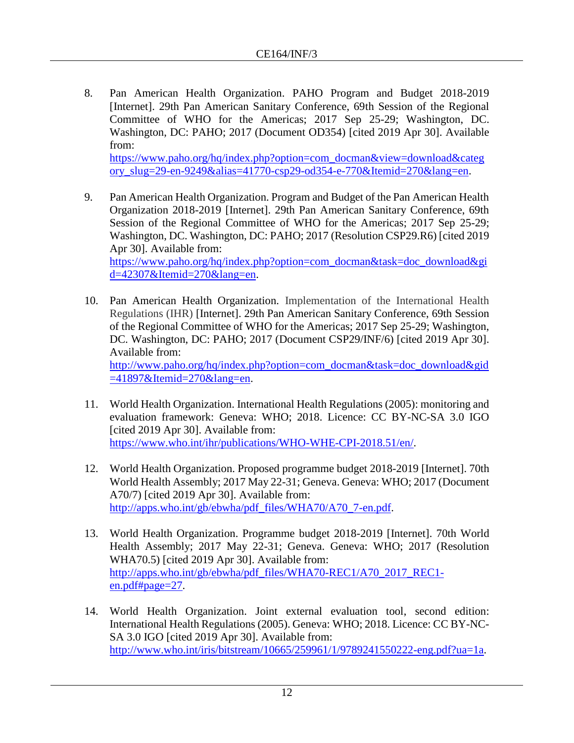8. Pan American Health Organization. PAHO Program and Budget 2018-2019 [Internet]. 29th Pan American Sanitary Conference, 69th Session of the Regional Committee of WHO for the Americas; 2017 Sep 25-29; Washington, DC. Washington, DC: PAHO; 2017 (Document OD354) [cited 2019 Apr 30]. Available from:

[https://www.paho.org/hq/index.php?option=com\\_docman&view=download&categ](https://www.paho.org/hq/index.php?option=com_docman&view=download&category_slug=29-en-9249&alias=41770-csp29-od354-e-770&Itemid=270&lang=en) [ory\\_slug=29-en-9249&alias=41770-csp29-od354-e-770&Itemid=270&lang=en.](https://www.paho.org/hq/index.php?option=com_docman&view=download&category_slug=29-en-9249&alias=41770-csp29-od354-e-770&Itemid=270&lang=en)

- 9. Pan American Health Organization. Program and Budget of the Pan American Health Organization 2018-2019 [Internet]. 29th Pan American Sanitary Conference, 69th Session of the Regional Committee of WHO for the Americas; 2017 Sep 25-29; Washington, DC. Washington, DC: PAHO; 2017 (Resolution CSP29.R6) [cited 2019 Apr 30]. Available from: [https://www.paho.org/hq/index.php?option=com\\_docman&task=doc\\_download&gi](https://www.paho.org/hq/index.php?option=com_docman&task=doc_download&gid=42307&Itemid=270&lang=en) [d=42307&Itemid=270&lang=en.](https://www.paho.org/hq/index.php?option=com_docman&task=doc_download&gid=42307&Itemid=270&lang=en)
- 10. Pan American Health Organization. Implementation of the International Health Regulations (IHR) [Internet]. 29th Pan American Sanitary Conference, 69th Session of the Regional Committee of WHO for the Americas; 2017 Sep 25-29; Washington, DC. Washington, DC: PAHO; 2017 (Document CSP29/INF/6) [cited 2019 Apr 30]. Available from: [http://www.paho.org/hq/index.php?option=com\\_docman&task=doc\\_download&gid](http://www.paho.org/hq/index.php?option=com_docman&task=doc_download&gid=41897&Itemid=270&lang=en)  $=41897\&$ Itemid=270 $\&$ lang=en.
- 11. World Health Organization. International Health Regulations (2005): monitoring and evaluation framework: Geneva: WHO; 2018. Licence: CC BY-NC-SA 3.0 IGO [cited 2019 Apr 30]. Available from: [https://www.who.int/ihr/publications/WHO-WHE-CPI-2018.51/en/.](https://www.who.int/ihr/publications/WHO-WHE-CPI-2018.51/en/)
- 12. World Health Organization. Proposed programme budget 2018-2019 [Internet]. 70th World Health Assembly; 2017 May 22-31; Geneva. Geneva: WHO; 2017 (Document A70/7) [cited 2019 Apr 30]. Available from: [http://apps.who.int/gb/ebwha/pdf\\_files/WHA70/A70\\_7-en.pdf.](http://apps.who.int/gb/ebwha/pdf_files/WHA70/A70_7-en.pdf)
- 13. World Health Organization. Programme budget 2018-2019 [Internet]. 70th World Health Assembly; 2017 May 22-31; Geneva. Geneva: WHO; 2017 (Resolution WHA70.5) [cited 2019 Apr 30]. Available from: [http://apps.who.int/gb/ebwha/pdf\\_files/WHA70-REC1/A70\\_2017\\_REC1](http://apps.who.int/gb/ebwha/pdf_files/WHA70-REC1/A70_2017_REC1-en.pdf#page=27) [en.pdf#page=27.](http://apps.who.int/gb/ebwha/pdf_files/WHA70-REC1/A70_2017_REC1-en.pdf#page=27)
- 14. World Health Organization. Joint external evaluation tool, second edition: International Health Regulations (2005). Geneva: WHO; 2018. Licence: CC BY-NC-SA 3.0 IGO [cited 2019 Apr 30]. Available from: [http://www.who.int/iris/bitstream/10665/259961/1/9789241550222-eng.pdf?ua=1a](http://www.who.int/iris/bitstream/10665/259961/1/9789241550222-eng.pdf?ua=1).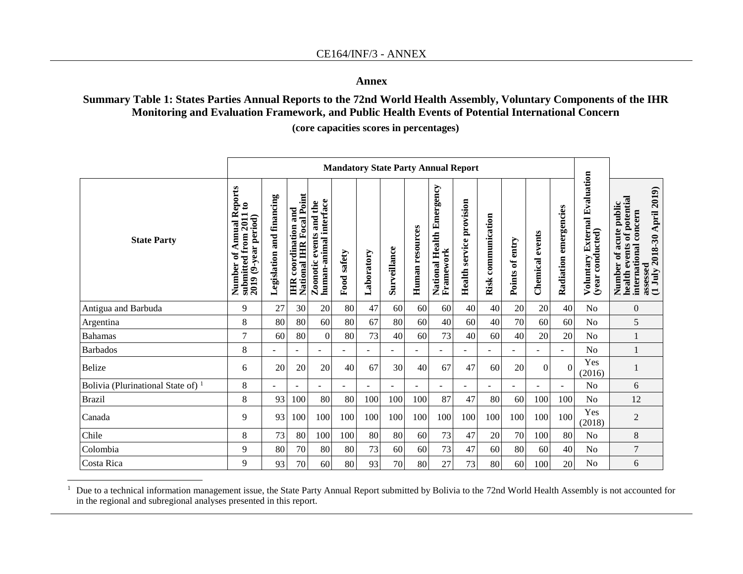## **Annex**

## **Summary Table 1: States Parties Annual Reports to the 72nd World Health Assembly, Voluntary Components of the IHR Monitoring and Evaluation Framework, and Public Health Events of Potential International Concern**

**(core capacities scores in percentages)**

|                                      | <b>Mandatory State Party Annual Report</b>                                                                 |                                 |                                                                |                                                         |             |            |                |                 |                                           |                                 |                    |                          |                    |                          |                                                                       |                                                                                                                                          |  |
|--------------------------------------|------------------------------------------------------------------------------------------------------------|---------------------------------|----------------------------------------------------------------|---------------------------------------------------------|-------------|------------|----------------|-----------------|-------------------------------------------|---------------------------------|--------------------|--------------------------|--------------------|--------------------------|-----------------------------------------------------------------------|------------------------------------------------------------------------------------------------------------------------------------------|--|
| <b>State Party</b>                   | Reports<br>$\boldsymbol{\mathsf{s}}$<br>submitted from 2011<br>2019 (9-year period)<br>Annual<br>Number of | financing<br>and<br>Legislation | <b>National IHR Focal Point</b><br><b>IHR</b> coordination and | human-animal interface<br>and the<br>events<br>Zoonotic | Food safety | Laboratory | Surveillance   | Human resources | Emergency<br>National Health<br>Framework | <b>Health service provision</b> | Risk communication | Points of entry          | events<br>Chemical | Radiation emergencies    | Evaluation<br><b>External</b><br>Voluntary Extern<br>(year conducted) | assessed<br>(1 July 2018-30 April 2019)<br>Number of acute public<br>health events of potential<br>acute public<br>international concern |  |
| Antigua and Barbuda                  | 9                                                                                                          | 27                              | 30                                                             | 20                                                      | 80          | 47         | 60             | 60              | 60                                        | 40                              | 40                 | 20                       | 20                 | 40                       | No                                                                    | $\boldsymbol{0}$                                                                                                                         |  |
| Argentina                            | 8                                                                                                          | 80                              | 80                                                             | 60                                                      | 80          | 67         | 80             | 60              | 40                                        | 60                              | 40                 | 70                       | 60                 | 60                       | No                                                                    | 5                                                                                                                                        |  |
| <b>Bahamas</b>                       | 7                                                                                                          | 60                              | 80                                                             | $\theta$                                                | 80          | 73         | 40             | 60              | 73                                        | 40                              | 60                 | 40                       | 20                 | 20                       | No                                                                    |                                                                                                                                          |  |
| <b>Barbados</b>                      | 8                                                                                                          | ۰                               | $\sim$                                                         | ۰                                                       | $\sim$      | Ξ.         | $\blacksquare$ | $\blacksquare$  | ٠                                         | $\overline{\phantom{a}}$        | $\blacksquare$     | $\overline{\phantom{a}}$ | $\blacksquare$     | $\overline{\phantom{0}}$ | N <sub>0</sub>                                                        |                                                                                                                                          |  |
| Belize                               | 6                                                                                                          | 20                              | 20                                                             | 20                                                      | 40          | 67         | 30             | 40              | 67                                        | 47                              | 60                 | 20                       | $\theta$           | $\Omega$                 | Yes<br>(2016)                                                         |                                                                                                                                          |  |
| Bolivia (Plurinational State of) $1$ | 8                                                                                                          | ٠                               | ÷                                                              | ۰                                                       | $\sim$      | ٠          |                | ÷               | $\overline{a}$                            |                                 | ÷                  |                          |                    | ÷                        | N <sub>o</sub>                                                        | 6                                                                                                                                        |  |
| <b>Brazil</b>                        | 8                                                                                                          | 93                              | 100                                                            | 80                                                      | 80          | 100        | 100            | 100             | 87                                        | 47                              | 80                 | 60                       | 100                | 100                      | N <sub>o</sub>                                                        | 12                                                                                                                                       |  |
| Canada                               | 9                                                                                                          | 93                              | 100                                                            | 100                                                     | 100         | 100        | 100            | 100             | 100                                       | 100                             | 100                | 100                      | 100                | 100                      | Yes<br>(2018)                                                         | $\overline{2}$                                                                                                                           |  |
| Chile                                | 8                                                                                                          | 73                              | 80                                                             | 100                                                     | 100         | 80         | 80             | 60              | 73                                        | 47                              | 20                 | 70                       | 100                | 80                       | No                                                                    | $\,8\,$                                                                                                                                  |  |
| Colombia                             | 9                                                                                                          | 80                              | 70                                                             | 80                                                      | 80          | 73         | 60             | 60              | 73                                        | 47                              | 60                 | 80                       | 60                 | 40                       | No                                                                    | $\overline{7}$                                                                                                                           |  |
| Costa Rica                           | 9                                                                                                          | 93                              | 70                                                             | 60                                                      | 80          | 93         | 70             | 80              | 27                                        | 73                              | 80                 | 60                       | 100                | 20                       | No                                                                    | 6                                                                                                                                        |  |

<sup>1</sup> Due to a technical information management issue, the State Party Annual Report submitted by Bolivia to the 72nd World Health Assembly is not accounted for in the regional and subregional analyses presented in this report.

 $\overline{a}$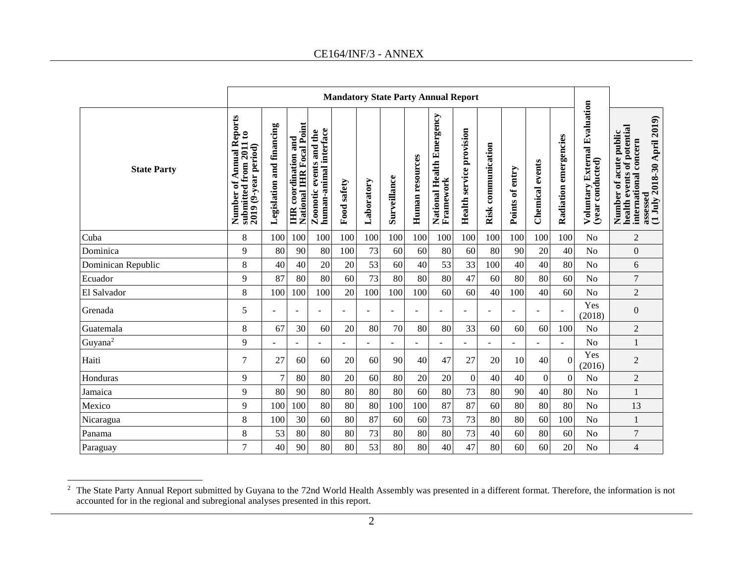**Mandatory State Party Annual Report** Voluntary External Evaluation<br>(year conducted) **Voluntary External Evaluation National Health Emergency Number of Annual Reports**  Number of Annual Reports<br>submitted from 2011 to **Framework** Number of acute public<br>health events of potential<br>international concern<br>assessed<br>(1 July 2018-30 April 2019) **(1 July 2018-30 April 2019) National IHR Focal Point**  Legislation and financing **IHR** coordination and<br>National IHR Focal Point **health events of potential Legislation and financing** Zoonotic events and the<br>human-animal interface **Health service provision functions Zoonotic events and the Health service provision Number of acute public submitted from 2011 to human-animal interface** Radiation emergencies **IHR coordination and Radiation emergencies international concern**  Risk communication  $2019$  (9-year period) **Risk communication 2019 (9-year period)** Human resources **Human resources Chemical** events **(year conducted) Chemical events State Party** Points of entry **Points of entry Surveillance Laboratory Food safety** Cuba 8 100 100 100 100 100 100 100 100 100 100 100 100 100 No 2 Dominica 9 80 90 80 100 73 60 60 80 60 80 90 20 40 No 0 Dominican Republic 1 8 40 40 40 20 20 53 60 40 53 33 100 40 40 80 No 6 Ecuador 9 87 80 80 60 73 80 80 80 47 60 80 80 60 No 7 El Salvador 8 100 100 100 20 100 100 100 60 60 40 100 40 60 No 2 Yes  $\begin{array}{c|c} 1 \text{ es} & 0 \\ (2018) & 0 \end{array}$ Grenada 5 - - - - - - - - - - - - - Guatemala 8 67 30 60 20 80 70 80 80 33 60 60 60 100 No 2 Guyana<sup>2</sup> 9 - - - - - - - - - - - - - - - No 1 Yes  $\begin{array}{c|c} \text{res} & 2 \\ (2016) & \end{array}$ Haiti 7 27 60 60 20 60 90 40 47 27 20 10 40 0 Honduras 9 7 80 80 20 60 80 20 20 0 40 40 0 0 No 2 Jamaica 9 80 90 80 80 80 80 60 80 73 80 90 40 80 No 1 Mexico 9 100 100 80 80 80 100 100 87 87 60 80 80 80 No 13 Nicaragua 8 100 30 60 80 87 60 60 73 73 80 80 60 100 No 1 Panama 8 53 80 80 80 73 80 80 80 73 40 60 80 60 No 7 Paraguay 7 40 90 80 80 53 80 80 40 47 80 60 60 20 No 4

 $2$  The State Party Annual Report submitted by Guyana to the 72nd World Health Assembly was presented in a different format. Therefore, the information is not accounted for in the regional and subregional analyses presented in this report.

 $\overline{a}$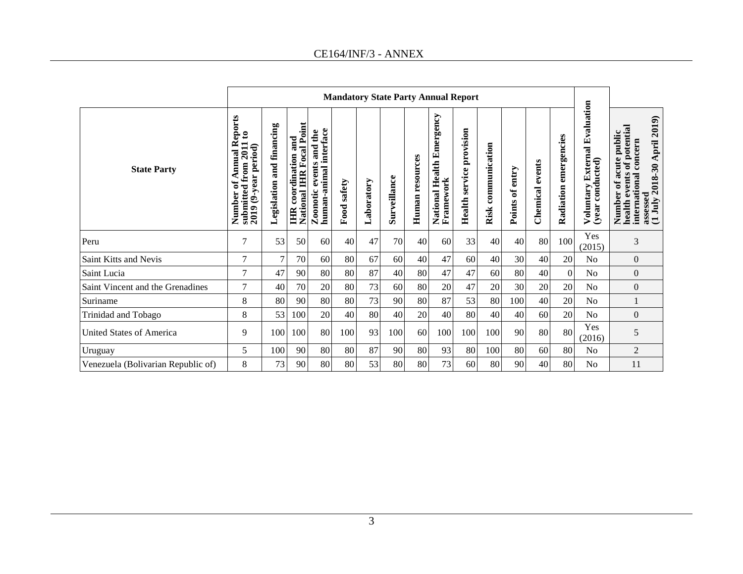**Mandatory State Party Annual Report** Voluntary External Evaluation<br>(year conducted) **Voluntary External Evaluation National Health Emergency Number of Annual Reports**  Number of Annual Reports<br>submitted from 2011 to<br>2019 (9-year period) **Framework** Number of acute public<br>health events of potential<br>international concern<br>assessed<br>(1 July 2018-30 April 2019) **(1 July 2018-30 April 2019) National IHR Focal Point**  Legislation and financing **IHR** coordination and<br>National IHR Focal Point **health events of potential Legislation and financing** Zoonotic events and the<br>human-animal interface **Health service provision functions Zoonotic events and the Health service provision Number of acute public submitted from 2011 to human-animal interface** Radiation emergencies **IHR coordination and Radiation emergencies international concern**  Risk communication **Risk communication 2019 (9-year period)** Human resources **Human resources Chemical events (year conducted) Chemical events State Party** Points of entry **Points of entry Surveillance Laboratory Food safety**  $\begin{array}{c|c}\n \text{Yes} \\
\hline\n (2015)\n \end{array}$  3 Peru <sup>7</sup> <sup>53</sup> <sup>50</sup> <sup>60</sup> <sup>40</sup> <sup>47</sup> <sup>70</sup> <sup>40</sup> <sup>60</sup> <sup>33</sup> <sup>40</sup> <sup>40</sup> <sup>80</sup> <sup>100</sup> Yes Saint Kitts and Nevis 7 7 70 60 80 67 60 40 47 60 40 30 40 20 No 0 Saint Lucia 7 47 90 80 80 87 40 80 47 47 60 80 40 0 No 0 Saint Vincent and the Grenadines  $\begin{vmatrix} 7 & 40 & 70 & 20 & 80 & 73 & 60 & 80 & 20 & 47 & 20 & 30 & 20 & 20 & N_0 \end{vmatrix}$ Suriname 8 80 90 80 80 73 90 80 87 53 80 100 40 20 No 1 Trinidad and Tobago 8 53 100 20 40 80 40 20 40 80 40 40 60 20 No 0 United States of America <sup>9</sup> <sup>100</sup> <sup>100</sup> <sup>80</sup> <sup>100</sup> <sup>93</sup> <sup>100</sup> <sup>60</sup> <sup>100</sup> <sup>100</sup> <sup>100</sup> <sup>90</sup> <sup>80</sup> <sup>80</sup> Yes  $\begin{array}{c|c} 1 \text{es} & 5 \\ (2016) & & \end{array}$ Uruguay 5 100 90 80 80 87 90 80 93 80 100 80 60 80 No 2 Venezuela (Bolivarian Republic of) 8 | 73 90 80 80 53 80 80 73 60 80 90 90 40 80 No 11